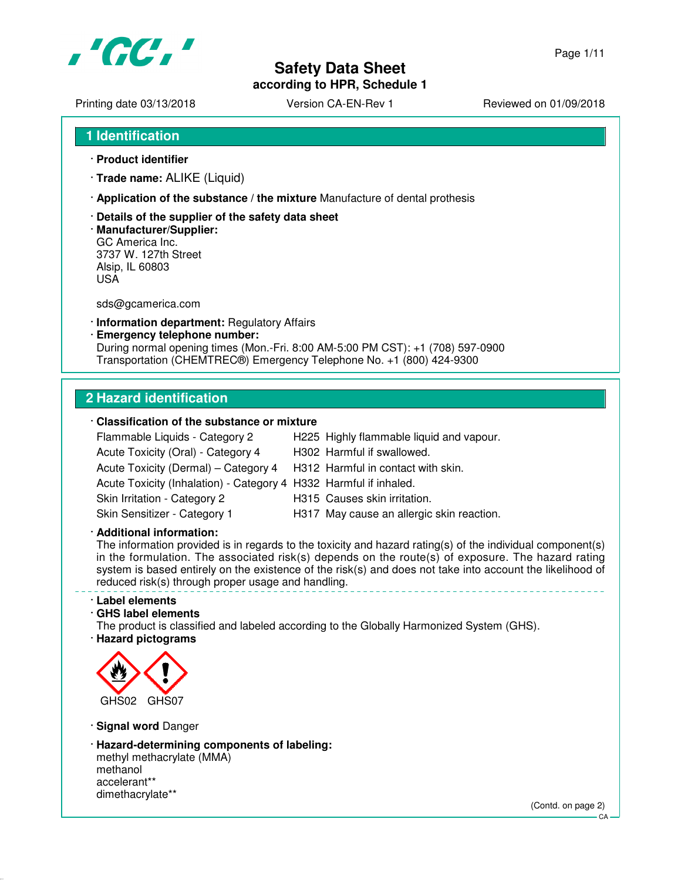

**according to HPR, Schedule 1**

Page 1/11

Printing date 03/13/2018 <br>
Version CA-EN-Rev 1 Reviewed on 01/09/2018

- **1 Identification**
- · **Product identifier**
- · **Trade name:** ALIKE (Liquid)
- · **Application of the substance / the mixture** Manufacture of dental prothesis
- · **Details of the supplier of the safety data sheet**
- · **Manufacturer/Supplier:** GC America Inc. 3737 W. 127th Street Alsip, IL 60803 USA

sds@gcamerica.com

- · **Information department:** Regulatory Affairs
- · **Emergency telephone number:** During normal opening times (Mon.-Fri. 8:00 AM-5:00 PM CST): +1 (708) 597-0900 Transportation (CHEMTREC®) Emergency Telephone No. +1 (800) 424-9300

#### **2 Hazard identification**

#### · **Classification of the substance or mixture**

Acute Toxicity (Oral) - Category 4 H302 Harmful if swallowed. Acute Toxicity (Dermal) – Category 4 H312 Harmful in contact with skin. Acute Toxicity (Inhalation) - Category 4 H332 Harmful if inhaled. Skin Irritation - Category 2 H315 Causes skin irritation.

- Flammable Liquids Category 2 H225 Highly flammable liquid and vapour.
	-
	-
	- -
- Skin Sensitizer Category 1 H317 May cause an allergic skin reaction.

· **Additional information:**

The information provided is in regards to the toxicity and hazard rating(s) of the individual component(s) in the formulation. The associated risk(s) depends on the route(s) of exposure. The hazard rating system is based entirely on the existence of the risk(s) and does not take into account the likelihood of reduced risk(s) through proper usage and handling.

#### · **Label elements**

· **GHS label elements**

The product is classified and labeled according to the Globally Harmonized System (GHS). · **Hazard pictograms**



· **Signal word** Danger

· **Hazard-determining components of labeling:** methyl methacrylate (MMA) methanol

accelerant\*\* dimethacrylate\*\*

(Contd. on page 2)

 $C.A$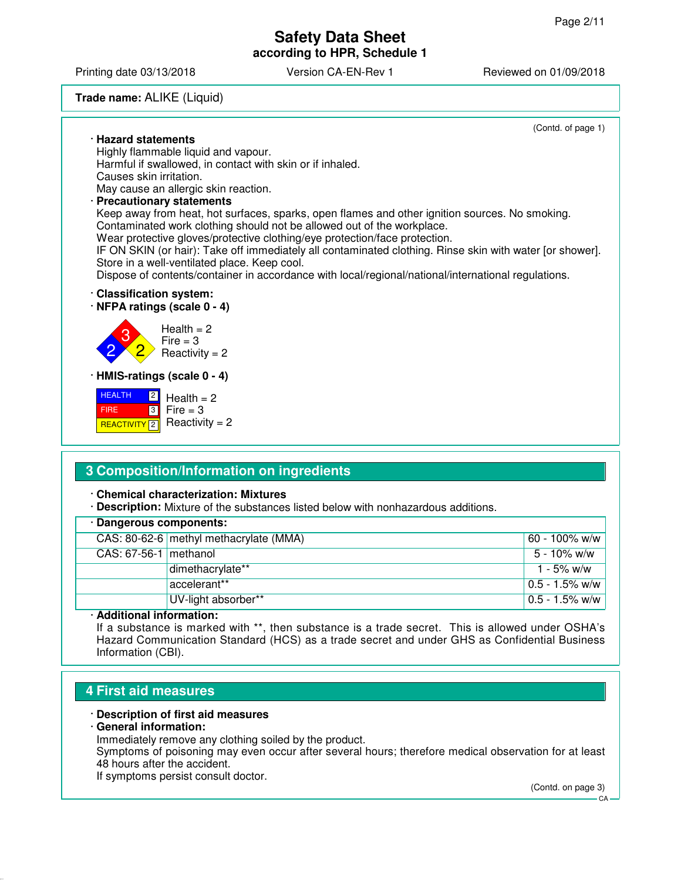Printing date 03/13/2018 Version CA-EN-Rev 1 Reviewed on 01/09/2018

#### **Trade name:** ALIKE (Liquid)

(Contd. of page 1) · **Hazard statements** Highly flammable liquid and vapour. Harmful if swallowed, in contact with skin or if inhaled. Causes skin irritation. May cause an allergic skin reaction. · **Precautionary statements** Keep away from heat, hot surfaces, sparks, open flames and other ignition sources. No smoking. Contaminated work clothing should not be allowed out of the workplace. Wear protective gloves/protective clothing/eye protection/face protection. IF ON SKIN (or hair): Take off immediately all contaminated clothing. Rinse skin with water [or shower]. Store in a well-ventilated place. Keep cool. Dispose of contents/container in accordance with local/regional/national/international regulations. · **Classification system:** · **NFPA ratings (scale 0 - 4)** 2 3 2  $Health = 2$  $Fire = 3$  $Reactivity = 2$ · **HMIS-ratings (scale 0 - 4)** HEALTH 2  $Health = 2$ 

 FIRE <mark>| REACTIVITY</mark> 2 3  $Fire = 3$  $Reactivity = 2$ 

### **3 Composition/Information on ingredients**

#### · **Chemical characterization: Mixtures**

· **Description:** Mixture of the substances listed below with nonhazardous additions.

| · Dangerous components: |                                        |                    |
|-------------------------|----------------------------------------|--------------------|
|                         | CAS: 80-62-6 methyl methacrylate (MMA) | 60 - 100% w/w      |
| CAS: 67-56-1   methanol |                                        | 5 - 10% w/w        |
|                         | dimethacrylate**                       | 1 - 5% w/w         |
|                         | accelerant**                           | $0.5 - 1.5\%$ w/w  |
|                         | UV-light absorber**                    | $ 0.5 - 1.5\%$ w/w |

#### · **Additional information:**

If a substance is marked with \*\*, then substance is a trade secret. This is allowed under OSHA's Hazard Communication Standard (HCS) as a trade secret and under GHS as Confidential Business Information (CBI).

## **4 First aid measures**

#### · **Description of first aid measures**

#### · **General information:**

Immediately remove any clothing soiled by the product.

Symptoms of poisoning may even occur after several hours; therefore medical observation for at least 48 hours after the accident.

If symptoms persist consult doctor.

(Contd. on page 3)

 $C_A$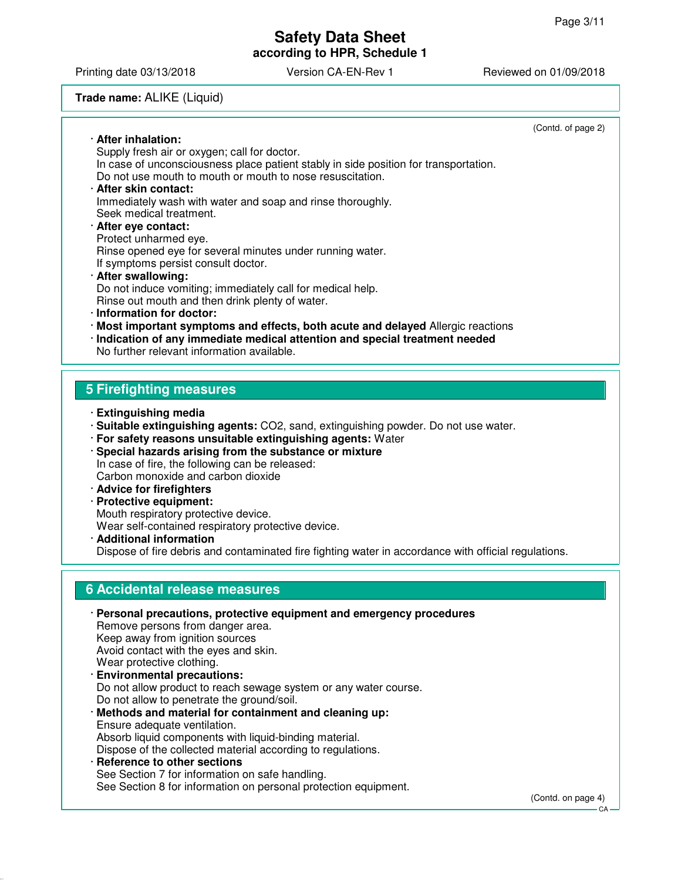Printing date 03/13/2018 **Version CA-EN-Rev 1** Reviewed on 01/09/2018

#### **Trade name:** ALIKE (Liquid)

|                                                                                      | (Contd. of page 2) |
|--------------------------------------------------------------------------------------|--------------------|
| · After inhalation:                                                                  |                    |
| Supply fresh air or oxygen; call for doctor.                                         |                    |
| In case of unconsciousness place patient stably in side position for transportation. |                    |
| Do not use mouth to mouth or mouth to nose resuscitation.                            |                    |
| · After skin contact:                                                                |                    |
| Immediately wash with water and soap and rinse thoroughly.                           |                    |
| Seek medical treatment.                                                              |                    |
| · After eye contact:                                                                 |                    |
| Protect unharmed eye.                                                                |                    |
| Rinse opened eye for several minutes under running water.                            |                    |
| If symptoms persist consult doctor.                                                  |                    |
| · After swallowing:                                                                  |                    |
| Do not induce vomiting; immediately call for medical help.                           |                    |
| Rinse out mouth and then drink plenty of water.                                      |                    |
| $\cdot$ Information for doctor:                                                      |                    |
| Most important symptoms and effects, both acute and delayed Allergic reactions       |                    |
| · Indication of any immediate medical attention and special treatment needed         |                    |
| No further relevant information available.                                           |                    |
|                                                                                      |                    |
| <b>5 Firefighting measures</b>                                                       |                    |
|                                                                                      |                    |
| · Extinguishing media                                                                |                    |
| · Suitable extinguishing agents: CO2, sand, extinguishing powder. Do not use water.  |                    |
| · For safety reasons unsuitable extinguishing agents: Water                          |                    |
| · Special hazards arising from the substance or mixture                              |                    |
| In case of fire, the following can be released:                                      |                    |

Carbon monoxide and carbon dioxide

· **Advice for firefighters**

· **Protective equipment:** Mouth respiratory protective device. Wear self-contained respiratory protective device.

· **Additional information** Dispose of fire debris and contaminated fire fighting water in accordance with official regulations.

## **6 Accidental release measures**

· **Personal precautions, protective equipment and emergency procedures** Remove persons from danger area. Keep away from ignition sources Avoid contact with the eyes and skin. Wear protective clothing. · **Environmental precautions:** Do not allow product to reach sewage system or any water course. Do not allow to penetrate the ground/soil. · **Methods and material for containment and cleaning up:** Ensure adequate ventilation. Absorb liquid components with liquid-binding material. Dispose of the collected material according to regulations. · **Reference to other sections** See Section 7 for information on safe handling.

See Section 8 for information on personal protection equipment.

(Contd. on page 4)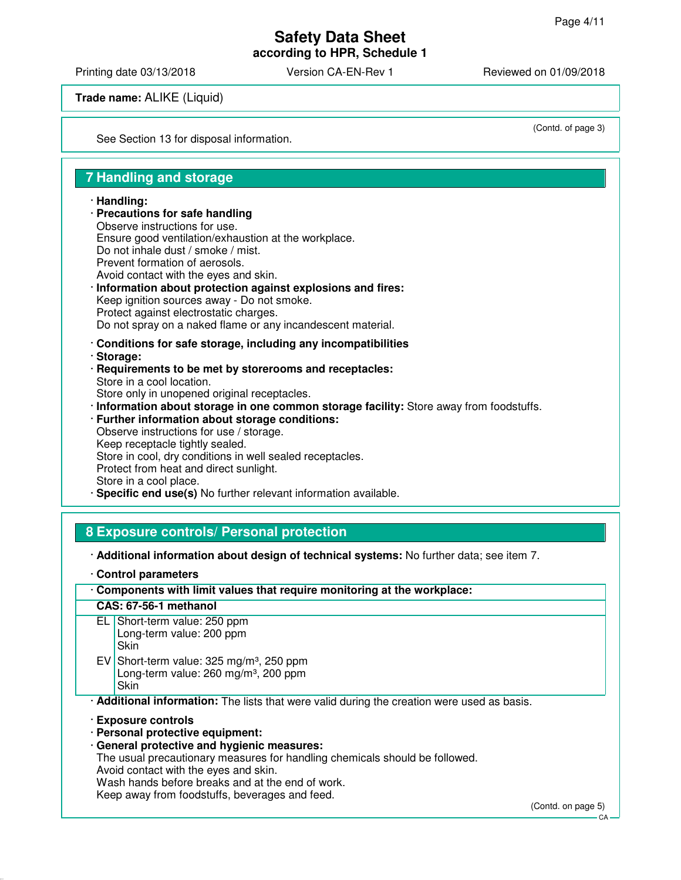Printing date 03/13/2018 Version CA-EN-Rev 1 Reviewed on 01/09/2018

**Trade name:** ALIKE (Liquid)

See Section 13 for disposal information.

(Contd. of page 3)

### **7 Handling and storage**

#### · **Handling:**

- · **Precautions for safe handling** Observe instructions for use. Ensure good ventilation/exhaustion at the workplace. Do not inhale dust / smoke / mist. Prevent formation of aerosols. Avoid contact with the eyes and skin. · **Information about protection against explosions and fires:** Keep ignition sources away - Do not smoke. Protect against electrostatic charges. Do not spray on a naked flame or any incandescent material. · **Conditions for safe storage, including any incompatibilities**
- · **Storage:**
- · **Requirements to be met by storerooms and receptacles:** Store in a cool location. Store only in unopened original receptacles.
- · **Information about storage in one common storage facility:** Store away from foodstuffs.

#### · **Further information about storage conditions:** Observe instructions for use / storage. Keep receptacle tightly sealed. Store in cool, dry conditions in well sealed receptacles. Protect from heat and direct sunlight. Store in a cool place.

**Specific end use(s)** No further relevant information available.

### **8 Exposure controls/ Personal protection**

- · **Additional information about design of technical systems:** No further data; see item 7.
- · **Control parameters**

| Components with limit values that require monitoring at the workplace: |  |
|------------------------------------------------------------------------|--|
|------------------------------------------------------------------------|--|

#### **CAS: 67-56-1 methanol** EL Short-term value: 250 ppm

- Long-term value: 200 ppm **Skin** EV Short-term value:  $325 \text{ mg/m}^3$ , 250 ppm
	- Long-term value:  $260$  mg/m<sup>3</sup>, 200 ppm
	- **Skin**

· **Additional information:** The lists that were valid during the creation were used as basis.

· **Exposure controls**

- · **Personal protective equipment:**
- · **General protective and hygienic measures:**

The usual precautionary measures for handling chemicals should be followed.

Avoid contact with the eyes and skin.

Wash hands before breaks and at the end of work.

Keep away from foodstuffs, beverages and feed.

(Contd. on page 5)

 $C.A$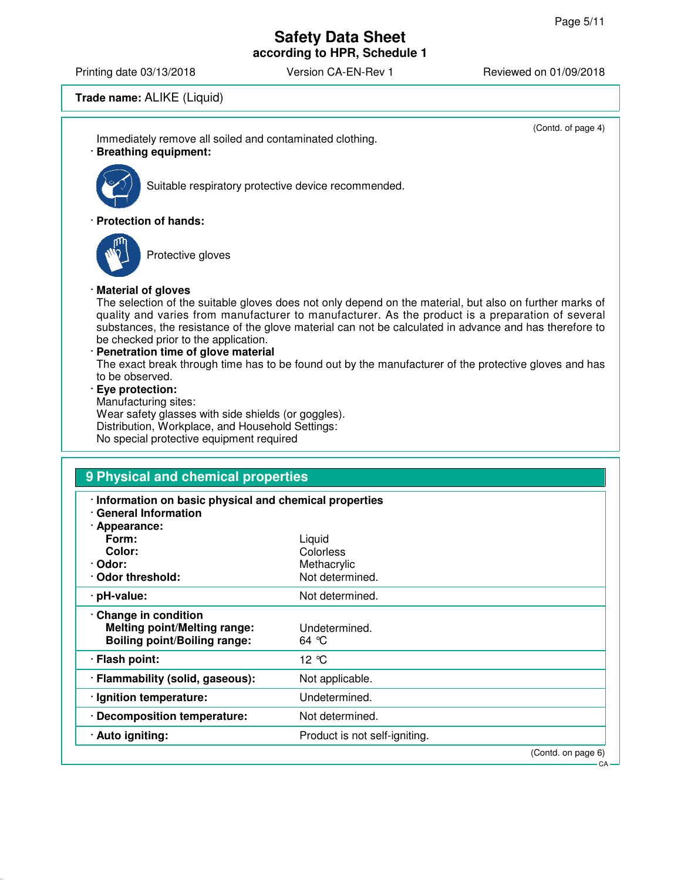(Contd. of page 4)

### **Safety Data Sheet according to HPR, Schedule 1**

Printing date 03/13/2018 <br>
Version CA-EN-Rev 1 Reviewed on 01/09/2018

### **Trade name:** ALIKE (Liquid)

Immediately remove all soiled and contaminated clothing. · **Breathing equipment:**



Suitable respiratory protective device recommended.

· **Protection of hands:**



Protective gloves

#### · **Material of gloves**

The selection of the suitable gloves does not only depend on the material, but also on further marks of quality and varies from manufacturer to manufacturer. As the product is a preparation of several substances, the resistance of the glove material can not be calculated in advance and has therefore to be checked prior to the application.

#### · **Penetration time of glove material**

The exact break through time has to be found out by the manufacturer of the protective gloves and has to be observed.

#### · **Eye protection:**

Manufacturing sites: Wear safety glasses with side shields (or goggles). Distribution, Workplace, and Household Settings: No special protective equipment required

| · Information on basic physical and chemical properties |                               |  |
|---------------------------------------------------------|-------------------------------|--|
| <b>General Information</b>                              |                               |  |
| · Appearance:                                           |                               |  |
| Form:                                                   | Liquid                        |  |
| Color:                                                  | Colorless                     |  |
| · Odor:                                                 | Methacrylic                   |  |
| <b>Odor threshold:</b>                                  | Not determined.               |  |
| · pH-value:                                             | Not determined.               |  |
| Change in condition                                     |                               |  |
| <b>Melting point/Melting range:</b>                     | Undetermined.                 |  |
| <b>Boiling point/Boiling range:</b>                     | 64 $\degree$ C                |  |
| · Flash point:                                          | 12 °C                         |  |
|                                                         |                               |  |
| · Flammability (solid, gaseous):                        | Not applicable.               |  |
| · Ignition temperature:                                 | Undetermined.                 |  |
| Decomposition temperature:                              | Not determined.               |  |
| · Auto igniting:                                        | Product is not self-igniting. |  |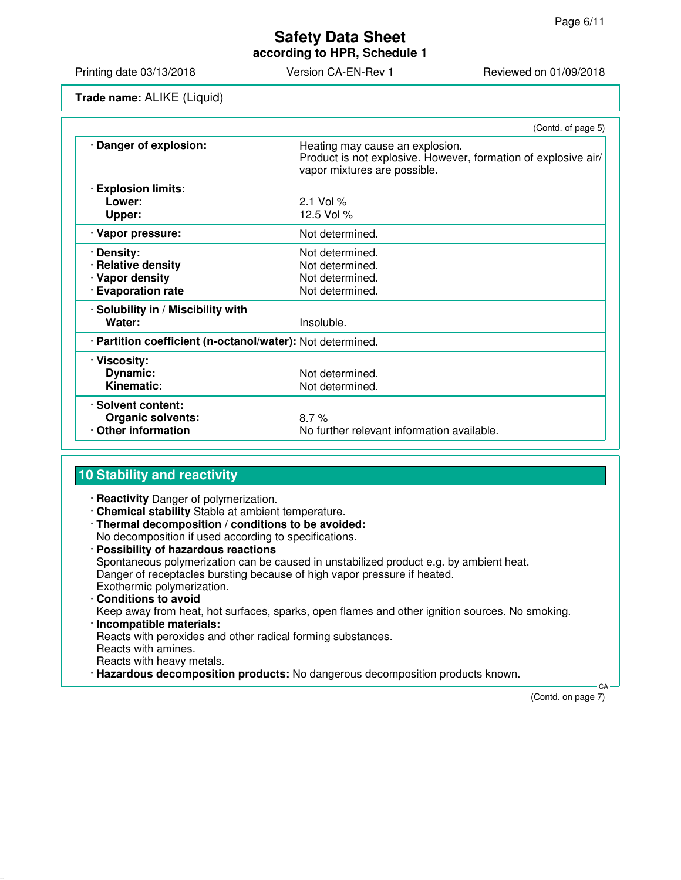**according to HPR, Schedule 1**

Printing date 03/13/2018 **Version CA-EN-Rev 1** Reviewed on 01/09/2018

**Trade name:** ALIKE (Liquid)

|                                                                           | (Contd. of page 5)                                                                                                                |
|---------------------------------------------------------------------------|-----------------------------------------------------------------------------------------------------------------------------------|
| · Danger of explosion:                                                    | Heating may cause an explosion.<br>Product is not explosive. However, formation of explosive air/<br>vapor mixtures are possible. |
| · Explosion limits:<br>Lower:<br>Upper:                                   | $2.1$ Vol %<br>12.5 Vol %                                                                                                         |
| · Vapor pressure:                                                         | Not determined.                                                                                                                   |
| · Density:<br>· Relative density<br>· Vapor density<br>· Evaporation rate | Not determined.<br>Not determined.<br>Not determined.<br>Not determined.                                                          |
| · Solubility in / Miscibility with<br>Water:                              | Insoluble.                                                                                                                        |
| · Partition coefficient (n-octanol/water): Not determined.                |                                                                                                                                   |
| · Viscosity:<br>Dynamic:<br><b>Kinematic:</b>                             | Not determined.<br>Not determined.                                                                                                |
| · Solvent content:<br><b>Organic solvents:</b><br>Other information       | 8.7%<br>No further relevant information available.                                                                                |

## **10 Stability and reactivity**

- · **Reactivity** Danger of polymerization.
- · **Chemical stability** Stable at ambient temperature.
- · **Thermal decomposition / conditions to be avoided:** No decomposition if used according to specifications.
- · **Possibility of hazardous reactions** Spontaneous polymerization can be caused in unstabilized product e.g. by ambient heat. Danger of receptacles bursting because of high vapor pressure if heated. Exothermic polymerization. · **Conditions to avoid** Keep away from heat, hot surfaces, sparks, open flames and other ignition sources. No smoking.
- · **Incompatible materials:** Reacts with peroxides and other radical forming substances. Reacts with amines. Reacts with heavy metals.
- · **Hazardous decomposition products:** No dangerous decomposition products known.

 CA (Contd. on page 7)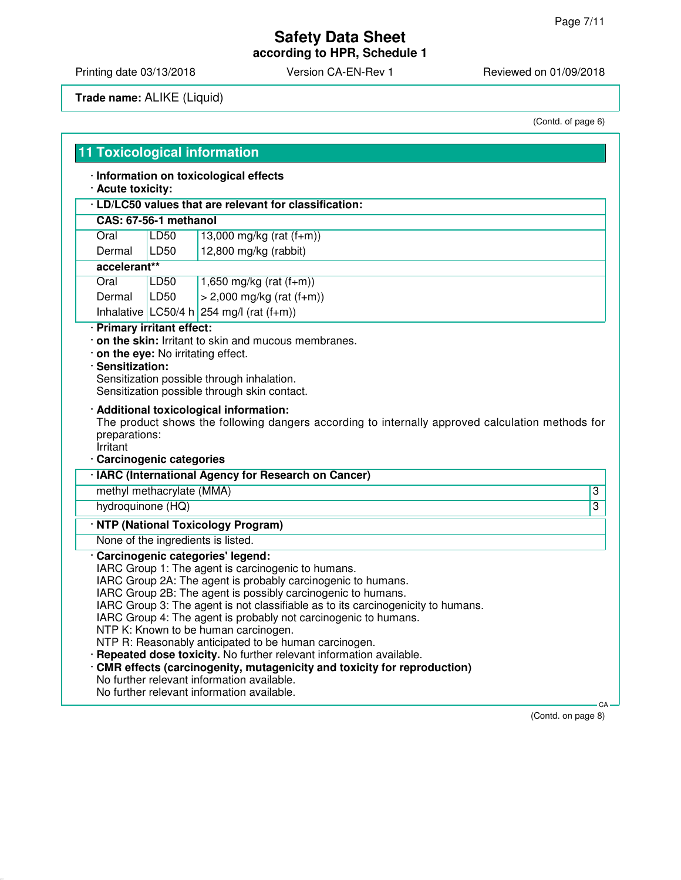**according to HPR, Schedule 1**

Printing date 03/13/2018 Version CA-EN-Rev 1 Reviewed on 01/09/2018

## **Trade name:** ALIKE (Liquid)

(Contd. of page 6)

|                                       | <b>11 Toxicological information</b> | · Information on toxicological effects                                                                                                                                                                                                                                                                                                                                                                                                                                                                                                                   |                |
|---------------------------------------|-------------------------------------|----------------------------------------------------------------------------------------------------------------------------------------------------------------------------------------------------------------------------------------------------------------------------------------------------------------------------------------------------------------------------------------------------------------------------------------------------------------------------------------------------------------------------------------------------------|----------------|
| · Acute toxicity:                     |                                     |                                                                                                                                                                                                                                                                                                                                                                                                                                                                                                                                                          |                |
|                                       |                                     | · LD/LC50 values that are relevant for classification:                                                                                                                                                                                                                                                                                                                                                                                                                                                                                                   |                |
| CAS: 67-56-1 methanol                 |                                     |                                                                                                                                                                                                                                                                                                                                                                                                                                                                                                                                                          |                |
| Oral                                  | LD50                                | 13,000 mg/kg (rat $(f+m)$ )                                                                                                                                                                                                                                                                                                                                                                                                                                                                                                                              |                |
| Dermal                                | LD50                                | 12,800 mg/kg (rabbit)                                                                                                                                                                                                                                                                                                                                                                                                                                                                                                                                    |                |
| accelerant**                          |                                     |                                                                                                                                                                                                                                                                                                                                                                                                                                                                                                                                                          |                |
| Oral                                  | LD50                                | 1,650 mg/kg (rat $(f+m)$ )                                                                                                                                                                                                                                                                                                                                                                                                                                                                                                                               |                |
| Dermal                                | LD50                                | $> 2,000$ mg/kg (rat (f+m))                                                                                                                                                                                                                                                                                                                                                                                                                                                                                                                              |                |
|                                       |                                     | Inhalative LC50/4 h 254 mg/l (rat $(f+m)$ )                                                                                                                                                                                                                                                                                                                                                                                                                                                                                                              |                |
| preparations:                         |                                     | Sensitization possible through skin contact.<br>· Additional toxicological information:<br>The product shows the following dangers according to internally approved calculation methods for                                                                                                                                                                                                                                                                                                                                                              |                |
| Irritant<br>· Carcinogenic categories |                                     |                                                                                                                                                                                                                                                                                                                                                                                                                                                                                                                                                          |                |
|                                       |                                     | · IARC (International Agency for Research on Cancer)                                                                                                                                                                                                                                                                                                                                                                                                                                                                                                     |                |
| methyl methacrylate (MMA)             |                                     |                                                                                                                                                                                                                                                                                                                                                                                                                                                                                                                                                          | $\overline{3}$ |
| hydroquinone (HQ)                     |                                     |                                                                                                                                                                                                                                                                                                                                                                                                                                                                                                                                                          | $\overline{3}$ |
|                                       |                                     |                                                                                                                                                                                                                                                                                                                                                                                                                                                                                                                                                          |                |
|                                       |                                     | · NTP (National Toxicology Program)                                                                                                                                                                                                                                                                                                                                                                                                                                                                                                                      |                |
|                                       |                                     | None of the ingredients is listed.                                                                                                                                                                                                                                                                                                                                                                                                                                                                                                                       |                |
|                                       |                                     | · Carcinogenic categories' legend:<br>IARC Group 1: The agent is carcinogenic to humans.<br>IARC Group 2A: The agent is probably carcinogenic to humans.<br>IARC Group 2B: The agent is possibly carcinogenic to humans.<br>IARC Group 3: The agent is not classifiable as to its carcinogenicity to humans.<br>IARC Group 4: The agent is probably not carcinogenic to humans.<br>NTP K: Known to be human carcinogen.<br>NTP R: Reasonably anticipated to be human carcinogen.<br>· Repeated dose toxicity. No further relevant information available. |                |
|                                       |                                     | CMR effects (carcinogenity, mutagenicity and toxicity for reproduction)<br>No further relevant information available.                                                                                                                                                                                                                                                                                                                                                                                                                                    |                |

(Contd. on page 8)

**CA**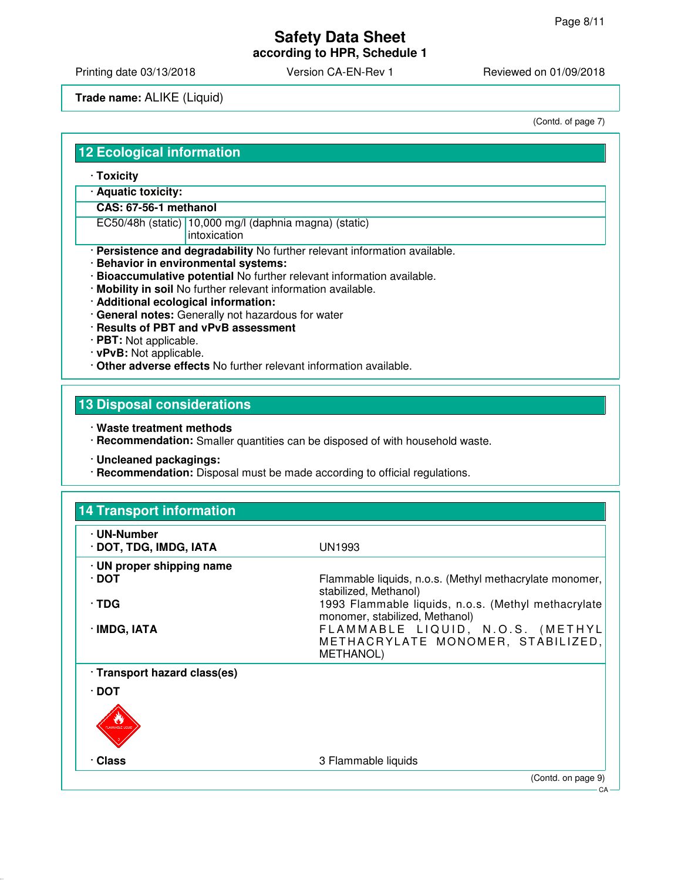**according to HPR, Schedule 1**

Printing date 03/13/2018 <br>
Version CA-EN-Rev 1 Reviewed on 01/09/2018

#### **Trade name:** ALIKE (Liquid)

(Contd. of page 7)

### **12 Ecological information**

- · **Toxicity**
- · **Aquatic toxicity:**

#### **CAS: 67-56-1 methanol**

EC50/48h (static) 10,000 mg/l (daphnia magna) (static)

- intoxication
- · **Persistence and degradability** No further relevant information available.
- · **Behavior in environmental systems:**
- · **Bioaccumulative potential** No further relevant information available.
- · **Mobility in soil** No further relevant information available.
- · **Additional ecological information:**
- · **General notes:** Generally not hazardous for water
- · **Results of PBT and vPvB assessment**
- · **PBT:** Not applicable.
- · **vPvB:** Not applicable.
- · **Other adverse effects** No further relevant information available.

## **13 Disposal considerations**

- · **Waste treatment methods**
- · **Recommendation:** Smaller quantities can be disposed of with household waste.
- · **Uncleaned packagings:**
- · **Recommendation:** Disposal must be made according to official regulations.

| · UN-Number                     |                                                                                           |
|---------------------------------|-------------------------------------------------------------------------------------------|
| · DOT, TDG, IMDG, IATA          | UN1993                                                                                    |
| $\cdot$ UN proper shipping name |                                                                                           |
| ∙ DOT                           | Flammable liquids, n.o.s. (Methyl methacrylate monomer,<br>stabilized, Methanol)          |
| ∙ TDG                           | 1993 Flammable liquids, n.o.s. (Methyl methacrylate<br>monomer, stabilized, Methanol)     |
| · IMDG, IATA                    | FLAMMABLE LIQUID, N.O.S. (METHYL<br>METHACRYLATE MONOMER, STABILIZED,<br><b>METHANOL)</b> |
| · Transport hazard class(es)    |                                                                                           |
| · DOT                           |                                                                                           |
|                                 |                                                                                           |
| · Class                         | 3 Flammable liquids                                                                       |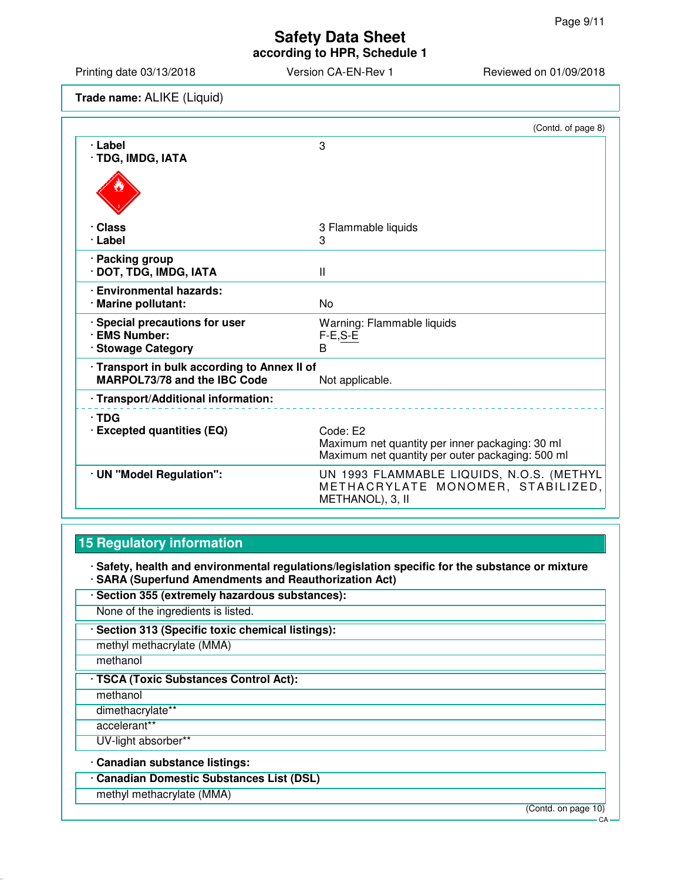**according to HPR, Schedule 1**

Printing date 03/13/2018 Version CA-EN-Rev 1 Reviewed on 01/09/2018

**Trade name:** ALIKE (Liquid)

|                                                 | (Contd. of page 8)                                                                                              |
|-------------------------------------------------|-----------------------------------------------------------------------------------------------------------------|
| · Label<br>· TDG, IMDG, IATA                    | 3                                                                                                               |
|                                                 |                                                                                                                 |
| · Class                                         | 3 Flammable liquids                                                                                             |
| · Label                                         | 3                                                                                                               |
| · Packing group<br>· DOT, TDG, IMDG, IATA       | $\mathbf{I}$                                                                                                    |
| · Environmental hazards:<br>· Marine pollutant: | No                                                                                                              |
| · Special precautions for user<br>· EMS Number: | Warning: Flammable liquids<br>$F-E, S-E$                                                                        |
| · Stowage Category                              | B                                                                                                               |
| · Transport in bulk according to Annex II of    |                                                                                                                 |
| MARPOL73/78 and the IBC Code                    | Not applicable.                                                                                                 |
| · Transport/Additional information:             |                                                                                                                 |
| $\cdot$ TDG<br>· Excepted quantities (EQ)       | Code: E2<br>Maximum net quantity per inner packaging: 30 ml<br>Maximum net quantity per outer packaging: 500 ml |
| · UN "Model Regulation":                        | UN 1993 FLAMMABLE LIQUIDS, N.O.S. (METHYL<br>METHACRYLATE MONOMER, STABILIZED,<br>METHANOL), 3, II              |

## **15 Regulatory information**

· **Safety, health and environmental regulations/legislation specific for the substance or mixture** · **SARA (Superfund Amendments and Reauthorization Act)**

· **Section 355 (extremely hazardous substances):**

None of the ingredients is listed.

· **Section 313 (Specific toxic chemical listings):**

methyl methacrylate (MMA)

methanol

· **TSCA (Toxic Substances Control Act):**

methanol

dimethacrylate\*\*

accelerant\*\*

UV-light absorber\*\*

· **Canadian substance listings:**

· **Canadian Domestic Substances List (DSL)**

methyl methacrylate (MMA)

(Contd. on page 10)

CA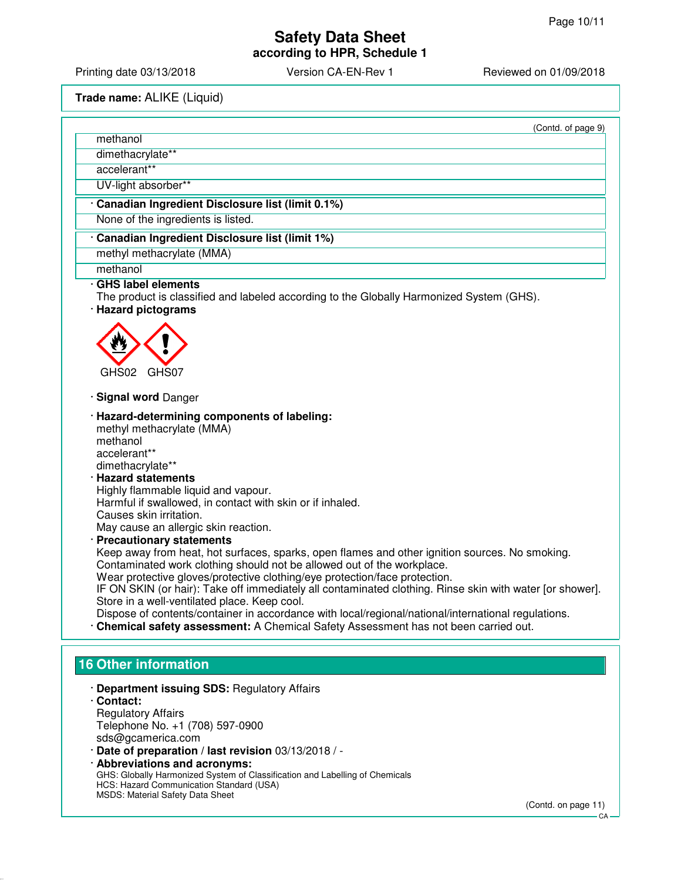**according to HPR, Schedule 1**

Printing date 03/13/2018 Version CA-EN-Rev 1 Reviewed on 01/09/2018

**Trade name:** ALIKE (Liquid)

| (Contd. of page 9)                                                                                                                                                                                                                                                                                                                                                                                                                                                                                                                                                                                                                                                                                                                                                                                                                                                                                                                                                         |
|----------------------------------------------------------------------------------------------------------------------------------------------------------------------------------------------------------------------------------------------------------------------------------------------------------------------------------------------------------------------------------------------------------------------------------------------------------------------------------------------------------------------------------------------------------------------------------------------------------------------------------------------------------------------------------------------------------------------------------------------------------------------------------------------------------------------------------------------------------------------------------------------------------------------------------------------------------------------------|
| methanol                                                                                                                                                                                                                                                                                                                                                                                                                                                                                                                                                                                                                                                                                                                                                                                                                                                                                                                                                                   |
| dimethacrylate**                                                                                                                                                                                                                                                                                                                                                                                                                                                                                                                                                                                                                                                                                                                                                                                                                                                                                                                                                           |
| accelerant**                                                                                                                                                                                                                                                                                                                                                                                                                                                                                                                                                                                                                                                                                                                                                                                                                                                                                                                                                               |
| UV-light absorber**                                                                                                                                                                                                                                                                                                                                                                                                                                                                                                                                                                                                                                                                                                                                                                                                                                                                                                                                                        |
| · Canadian Ingredient Disclosure list (limit 0.1%)                                                                                                                                                                                                                                                                                                                                                                                                                                                                                                                                                                                                                                                                                                                                                                                                                                                                                                                         |
| None of the ingredients is listed.                                                                                                                                                                                                                                                                                                                                                                                                                                                                                                                                                                                                                                                                                                                                                                                                                                                                                                                                         |
| Canadian Ingredient Disclosure list (limit 1%)                                                                                                                                                                                                                                                                                                                                                                                                                                                                                                                                                                                                                                                                                                                                                                                                                                                                                                                             |
| methyl methacrylate (MMA)                                                                                                                                                                                                                                                                                                                                                                                                                                                                                                                                                                                                                                                                                                                                                                                                                                                                                                                                                  |
| methanol                                                                                                                                                                                                                                                                                                                                                                                                                                                                                                                                                                                                                                                                                                                                                                                                                                                                                                                                                                   |
| · GHS label elements<br>The product is classified and labeled according to the Globally Harmonized System (GHS).<br>· Hazard pictograms                                                                                                                                                                                                                                                                                                                                                                                                                                                                                                                                                                                                                                                                                                                                                                                                                                    |
|                                                                                                                                                                                                                                                                                                                                                                                                                                                                                                                                                                                                                                                                                                                                                                                                                                                                                                                                                                            |
| GHS02<br>GHS07                                                                                                                                                                                                                                                                                                                                                                                                                                                                                                                                                                                                                                                                                                                                                                                                                                                                                                                                                             |
| · Signal word Danger                                                                                                                                                                                                                                                                                                                                                                                                                                                                                                                                                                                                                                                                                                                                                                                                                                                                                                                                                       |
| · Hazard-determining components of labeling:<br>methyl methacrylate (MMA)<br>methanol<br>accelerant**<br>dimethacrylate**<br>· Hazard statements<br>Highly flammable liquid and vapour.<br>Harmful if swallowed, in contact with skin or if inhaled.<br>Causes skin irritation.<br>May cause an allergic skin reaction.<br>· Precautionary statements<br>Keep away from heat, hot surfaces, sparks, open flames and other ignition sources. No smoking.<br>Contaminated work clothing should not be allowed out of the workplace.<br>Wear protective gloves/protective clothing/eye protection/face protection.<br>IF ON SKIN (or hair): Take off immediately all contaminated clothing. Rinse skin with water [or shower].<br>Store in a well-ventilated place. Keep cool.<br>Dispose of contents/container in accordance with local/regional/national/international regulations.<br>· Chemical safety assessment: A Chemical Safety Assessment has not been carried out. |
| <b>16 Other information</b>                                                                                                                                                                                                                                                                                                                                                                                                                                                                                                                                                                                                                                                                                                                                                                                                                                                                                                                                                |
| · Department issuing SDS: Regulatory Affairs<br>· Contact:<br><b>Regulatory Affairs</b><br>Telephone No. +1 (708) 597-0900<br>sds@gcamerica.com<br>· Date of preparation / last revision 03/13/2018 / -                                                                                                                                                                                                                                                                                                                                                                                                                                                                                                                                                                                                                                                                                                                                                                    |

· **Abbreviations and acronyms:** GHS: Globally Harmonized System of Classification and Labelling of Chemicals HCS: Hazard Communication Standard (USA) MSDS: Material Safety Data Sheet

(Contd. on page 11)

CA